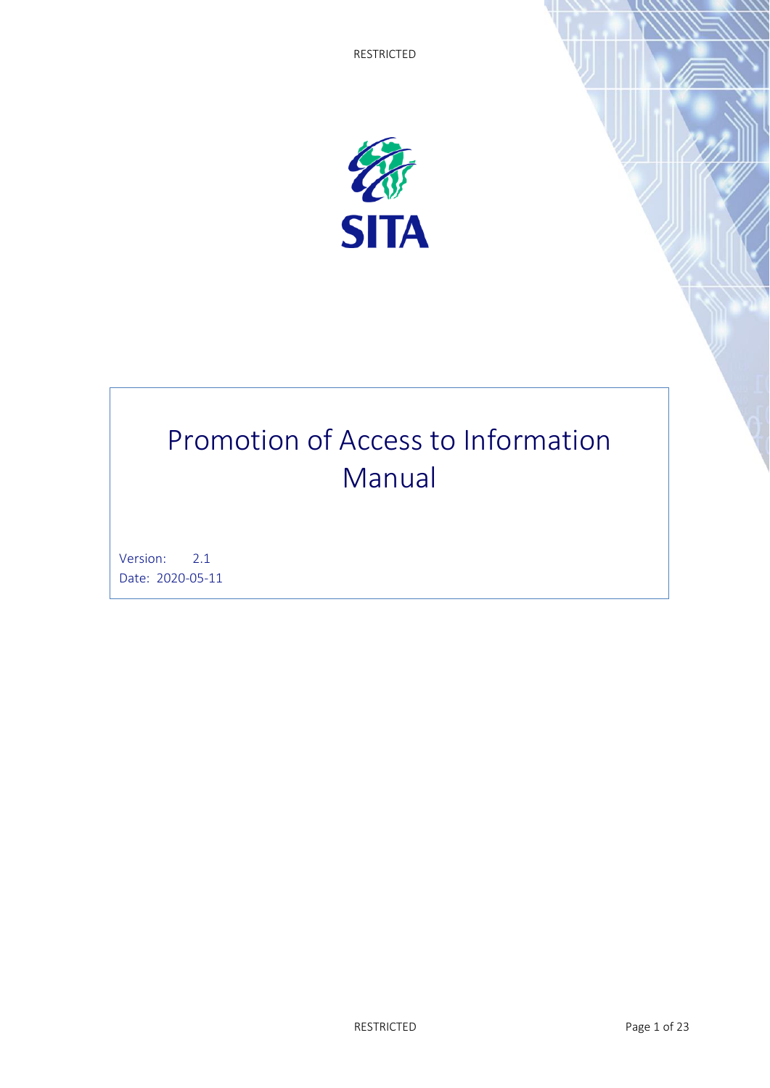

# Promotion of Access to Information Manual

Version: 2.1 Date: 2020-05-11

RESTRICTED Page 1 of 23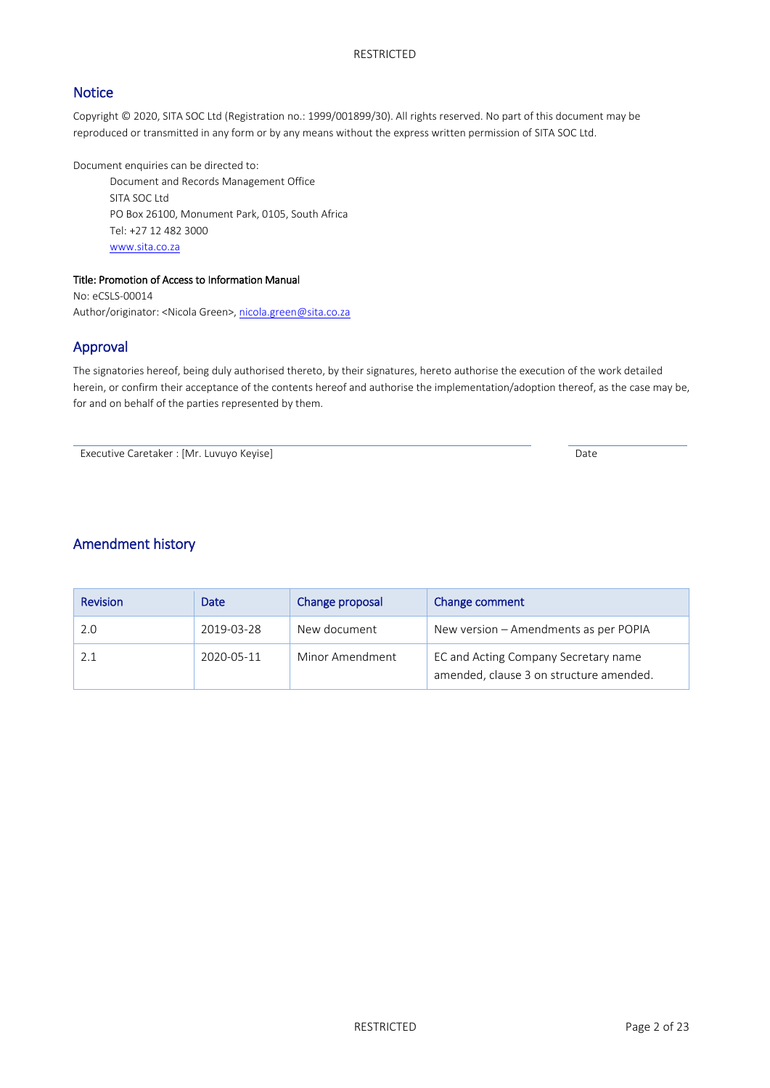### **Notice**

Copyright © 2020, SITA SOC Ltd (Registration no.: 1999/001899/30). All rights reserved. No part of this document may be reproduced or transmitted in any form or by any means without the express written permission of SITA SOC Ltd.

Document enquiries can be directed to:

Document and Records Management Office SITA SOC Ltd PO Box 26100, Monument Park, 0105, South Africa Tel: +27 12 482 3000 [www.sita.co.za](http://www.sita.co.za/)

#### Title: Promotion of Access to Information Manual

No: eCSLS-00014 Author/originator: <Nicola Green>[, nicola.green@sita.co.za](mailto:nicola.green@sita.co.za)

### Approval

The signatories hereof, being duly authorised thereto, by their signatures, hereto authorise the execution of the work detailed herein, or confirm their acceptance of the contents hereof and authorise the implementation/adoption thereof, as the case may be, for and on behalf of the parties represented by them.

Executive Caretaker : [Mr. Luvuyo Keyise] Date

### Amendment history

| <b>Revision</b> | Date       | Change proposal | Change comment                                                                  |
|-----------------|------------|-----------------|---------------------------------------------------------------------------------|
| 2.0             | 2019-03-28 | New document    | New version - Amendments as per POPIA                                           |
|                 | 2020-05-11 | Minor Amendment | EC and Acting Company Secretary name<br>amended, clause 3 on structure amended. |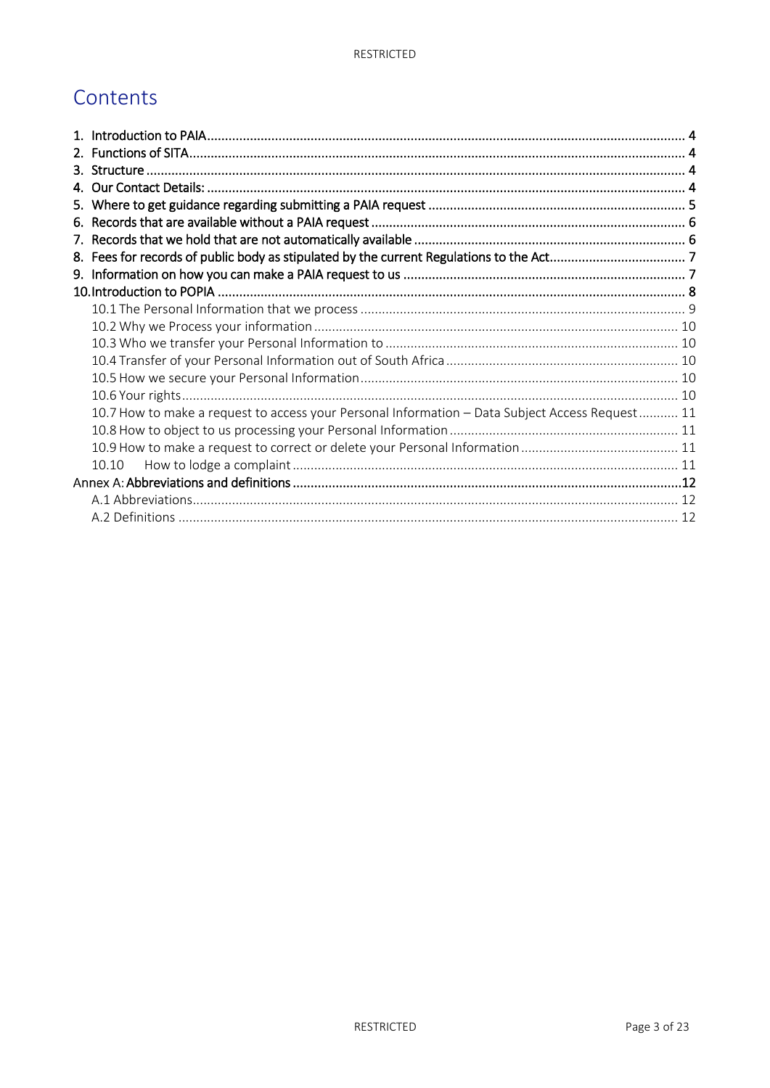## Contents

| 10.7 How to make a request to access your Personal Information - Data Subject Access Request 11 |  |
|-------------------------------------------------------------------------------------------------|--|
|                                                                                                 |  |
|                                                                                                 |  |
| 10.10                                                                                           |  |
|                                                                                                 |  |
|                                                                                                 |  |
|                                                                                                 |  |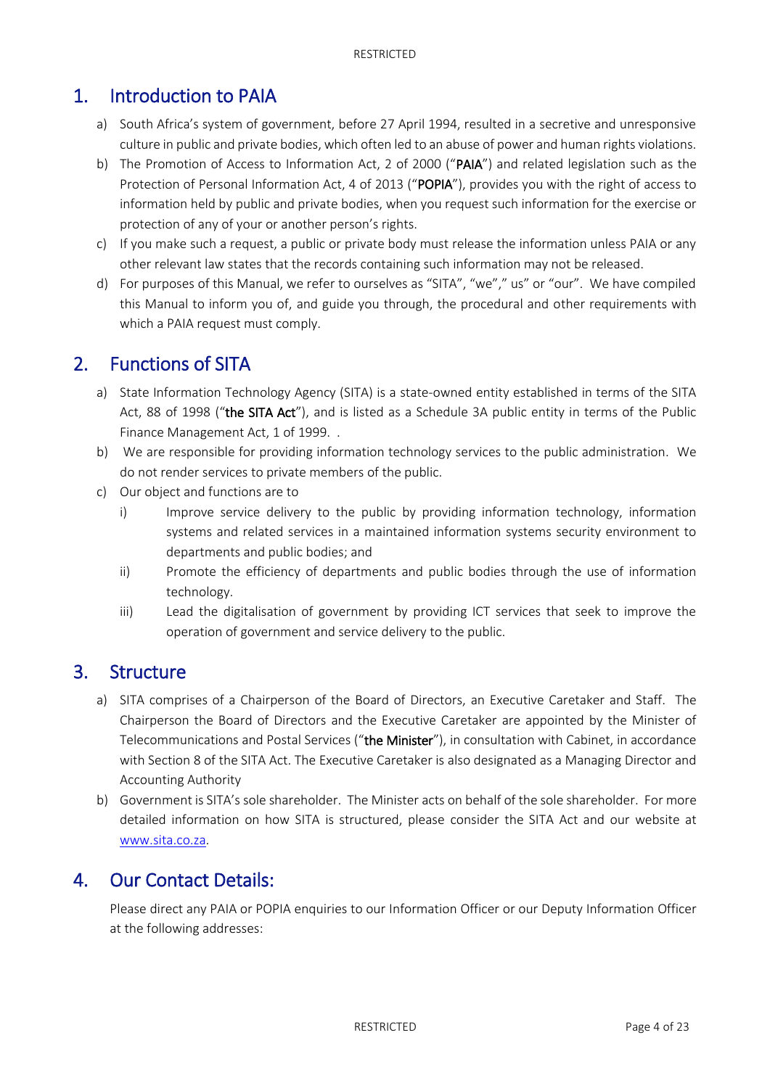## <span id="page-3-0"></span>1. Introduction to PAIA

- a) South Africa's system of government, before 27 April 1994, resulted in a secretive and unresponsive culture in public and private bodies, which often led to an abuse of power and human rights violations.
- b) The Promotion of Access to Information Act, 2 of 2000 ("PAIA") and related legislation such as the Protection of Personal Information Act, 4 of 2013 ("POPIA"), provides you with the right of access to information held by public and private bodies, when you request such information for the exercise or protection of any of your or another person's rights.
- c) If you make such a request, a public or private body must release the information unless PAIA or any other relevant law states that the records containing such information may not be released.
- d) For purposes of this Manual, we refer to ourselves as "SITA", "we"," us" or "our". We have compiled this Manual to inform you of, and guide you through, the procedural and other requirements with which a PAIA request must comply.

## <span id="page-3-1"></span>2. Functions of SITA

- a) State Information Technology Agency (SITA) is a state-owned entity established in terms of the SITA Act, 88 of 1998 ("the SITA Act"), and is listed as a Schedule 3A public entity in terms of the Public Finance Management Act, 1 of 1999. .
- b) We are responsible for providing information technology services to the public administration. We do not render services to private members of the public.
- c) Our object and functions are to
	- i) Improve service delivery to the public by providing information technology, information systems and related services in a maintained information systems security environment to departments and public bodies; and
	- ii) Promote the efficiency of departments and public bodies through the use of information technology.
	- iii) Lead the digitalisation of government by providing ICT services that seek to improve the operation of government and service delivery to the public.

## <span id="page-3-2"></span>3. Structure

- a) SITA comprises of a Chairperson of the Board of Directors, an Executive Caretaker and Staff. The Chairperson the Board of Directors and the Executive Caretaker are appointed by the Minister of Telecommunications and Postal Services ("the Minister"), in consultation with Cabinet, in accordance with Section 8 of the SITA Act. The Executive Caretaker is also designated as a Managing Director and Accounting Authority
- b) Government is SITA's sole shareholder. The Minister acts on behalf of the sole shareholder. For more detailed information on how SITA is structured, please consider the SITA Act and our website at [www.sita.co.za.](http://www.sita.co.za/)

## <span id="page-3-3"></span>4. Our Contact Details:

Please direct any PAIA or POPIA enquiries to our Information Officer or our Deputy Information Officer at the following addresses: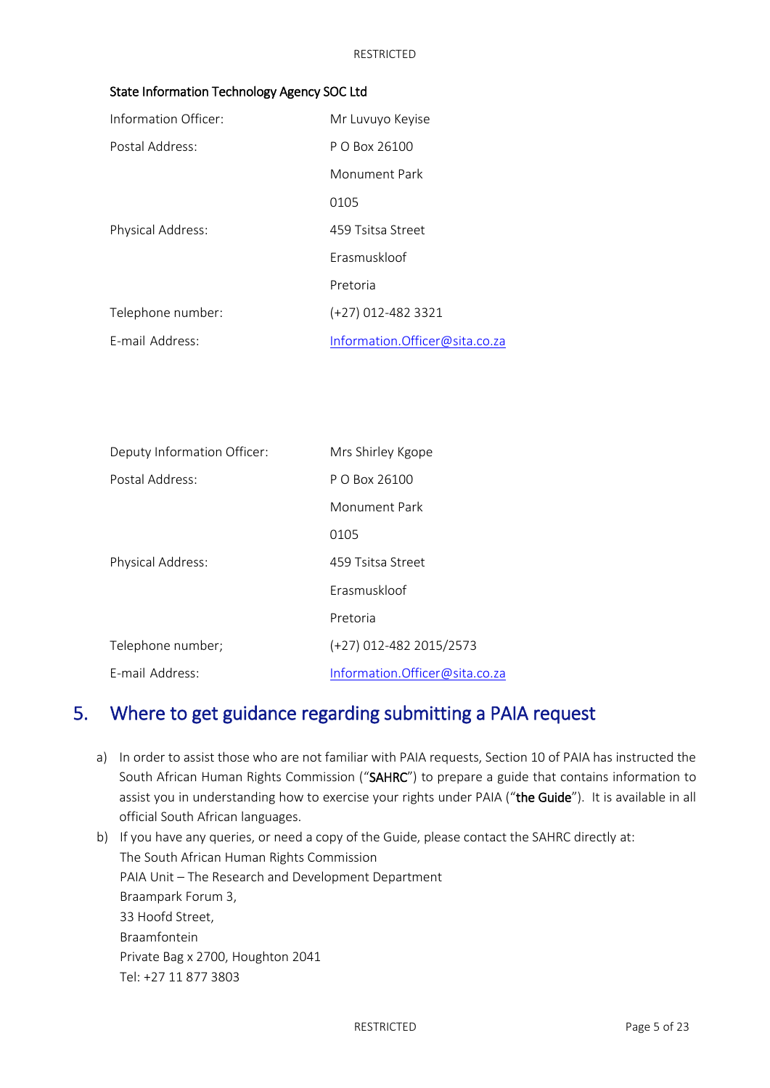| State Information Technology Agency SOC Ltd |  |  |  |  |
|---------------------------------------------|--|--|--|--|
|---------------------------------------------|--|--|--|--|

| Information Officer: | Mr Luvuyo Keyise               |
|----------------------|--------------------------------|
| Postal Address:      | P O Box 26100                  |
|                      | Monument Park                  |
|                      | 0105                           |
| Physical Address:    | 459 Tsitsa Street              |
|                      | Frasmuskloof                   |
|                      | Pretoria                       |
| Telephone number:    | $(+27)$ 012-482 3321           |
| F-mail Address:      | Information.Officer@sita.co.za |

| Deputy Information Officer: | Mrs Shirley Kgope               |
|-----------------------------|---------------------------------|
| Postal Address:             | P O Box 26100                   |
|                             | Monument Park                   |
|                             | 0105                            |
| Physical Address:           | 459 Tsitsa Street               |
|                             | Frasmuskloof                    |
|                             | Pretoria                        |
| Telephone number;           | (+27) 012-482 2015/2573         |
| E-mail Address:             | Information. Officer@sita.co.za |

## <span id="page-4-0"></span>5. Where to get guidance regarding submitting a PAIA request

- a) In order to assist those who are not familiar with PAIA requests, Section 10 of PAIA has instructed the South African Human Rights Commission ("SAHRC") to prepare a guide that contains information to assist you in understanding how to exercise your rights under PAIA ("the Guide"). It is available in all official South African languages.
- b) If you have any queries, or need a copy of the Guide, please contact the SAHRC directly at: The South African Human Rights Commission PAIA Unit – The Research and Development Department Braampark Forum 3, 33 Hoofd Street, Braamfontein Private Bag x 2700, Houghton 2041 Tel: +27 11 877 3803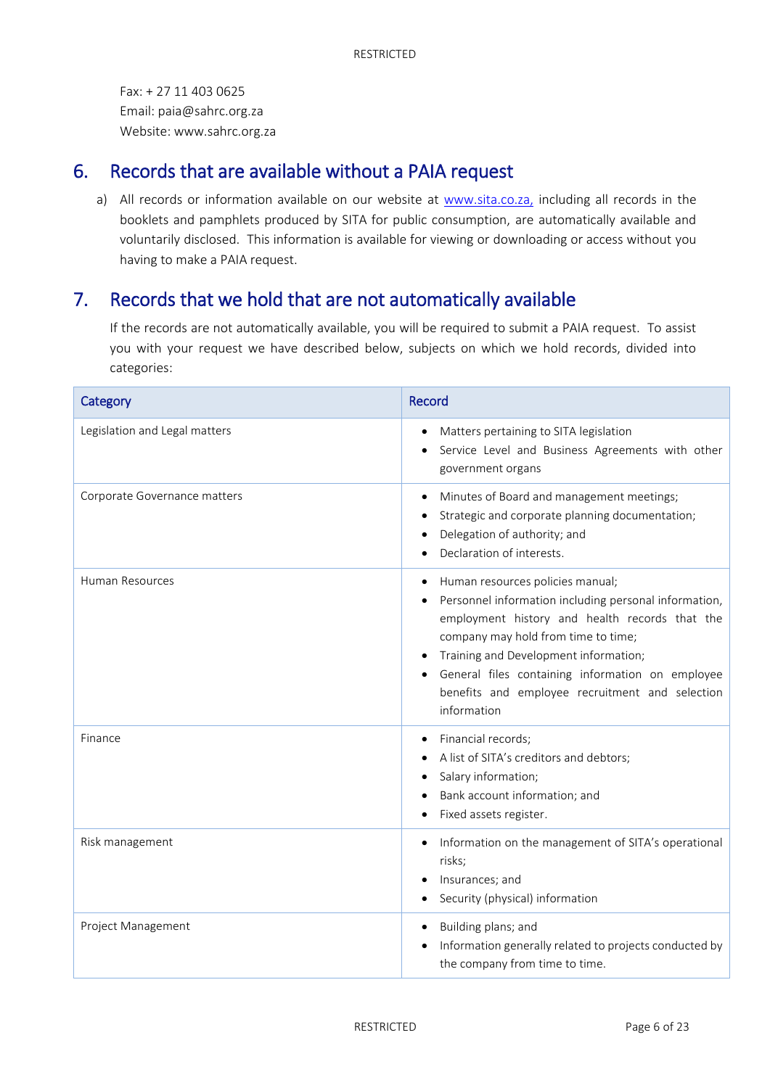Fax: + 27 11 403 0625 Email: paia@sahrc.org.za Website: www.sahrc.org.za

## <span id="page-5-0"></span>6. Records that are available without a PAIA request

a) All records or information available on our website at [www.sita.co.za,](http://www.sita.co.za/) including all records in the booklets and pamphlets produced by SITA for public consumption, are automatically available and voluntarily disclosed. This information is available for viewing or downloading or access without you having to make a PAIA request.

## <span id="page-5-1"></span>7. Records that we hold that are not automatically available

If the records are not automatically available, you will be required to submit a PAIA request. To assist you with your request we have described below, subjects on which we hold records, divided into categories:

| Category                      | Record                                                                                                                                                                                                                                                                                                                                            |
|-------------------------------|---------------------------------------------------------------------------------------------------------------------------------------------------------------------------------------------------------------------------------------------------------------------------------------------------------------------------------------------------|
| Legislation and Legal matters | Matters pertaining to SITA legislation<br>Service Level and Business Agreements with other<br>government organs                                                                                                                                                                                                                                   |
| Corporate Governance matters  | Minutes of Board and management meetings;<br>Strategic and corporate planning documentation;<br>Delegation of authority; and<br>Declaration of interests.                                                                                                                                                                                         |
| <b>Human Resources</b>        | Human resources policies manual;<br>Personnel information including personal information,<br>employment history and health records that the<br>company may hold from time to time;<br>Training and Development information;<br>General files containing information on employee<br>benefits and employee recruitment and selection<br>information |
| Finance                       | Financial records;<br>A list of SITA's creditors and debtors;<br>Salary information;<br>Bank account information; and<br>Fixed assets register.                                                                                                                                                                                                   |
| Risk management               | Information on the management of SITA's operational<br>risks;<br>Insurances; and<br>Security (physical) information                                                                                                                                                                                                                               |
| Project Management            | Building plans; and<br>Information generally related to projects conducted by<br>the company from time to time.                                                                                                                                                                                                                                   |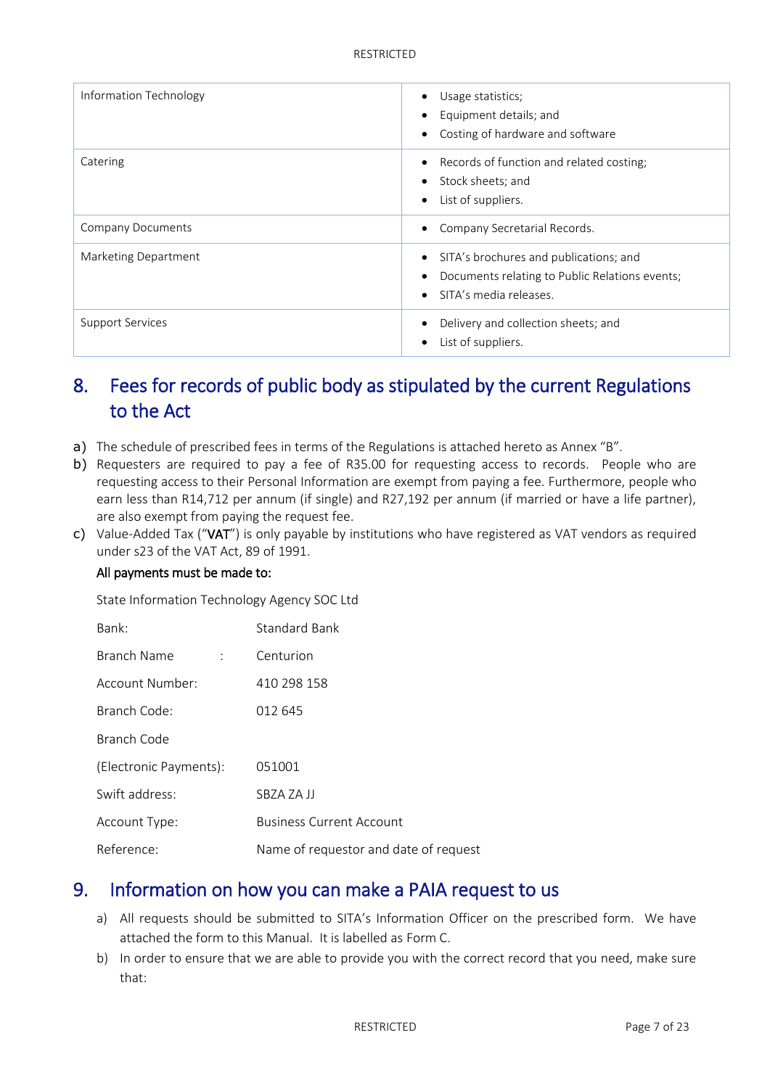| Information Technology   | Usage statistics;<br>Equipment details; and<br>Costing of hardware and software                                    |
|--------------------------|--------------------------------------------------------------------------------------------------------------------|
| Catering                 | Records of function and related costing;<br>Stock sheets; and<br>List of suppliers.                                |
| <b>Company Documents</b> | Company Secretarial Records.                                                                                       |
| Marketing Department     | SITA's brochures and publications; and<br>Documents relating to Public Relations events;<br>SITA's media releases. |
| Support Services         | Delivery and collection sheets; and<br>List of suppliers.                                                          |

## <span id="page-6-0"></span>8. Fees for records of public body as stipulated by the current Regulations to the Act

- a) The schedule of prescribed fees in terms of the Regulations is attached hereto as Annex "B".
- b) Requesters are required to pay a fee of R35.00 for requesting access to records. People who are requesting access to their Personal Information are exempt from paying a fee. Furthermore, people who earn less than R14,712 per annum (if single) and R27,192 per annum (if married or have a life partner), are also exempt from paying the request fee.
- c) Value-Added Tax ("VAT") is only payable by institutions who have registered as VAT vendors as required under s23 of the VAT Act, 89 of 1991.

#### All payments must be made to:

State Information Technology Agency SOC Ltd

| Bank:                  | Standard Bank                         |
|------------------------|---------------------------------------|
| Branch Name            | Centurion                             |
| Account Number:        | 410 298 158                           |
| Branch Code:           | 012 645                               |
| Branch Code            |                                       |
| (Electronic Payments): | 051001                                |
| Swift address:         | SBZA ZA II                            |
| Account Type:          | <b>Business Current Account</b>       |
| Reference:             | Name of requestor and date of request |

### <span id="page-6-1"></span>9. Information on how you can make a PAIA request to us

- a) All requests should be submitted to SITA's Information Officer on the prescribed form. We have attached the form to this Manual. It is labelled as Form C.
- b) In order to ensure that we are able to provide you with the correct record that you need, make sure that: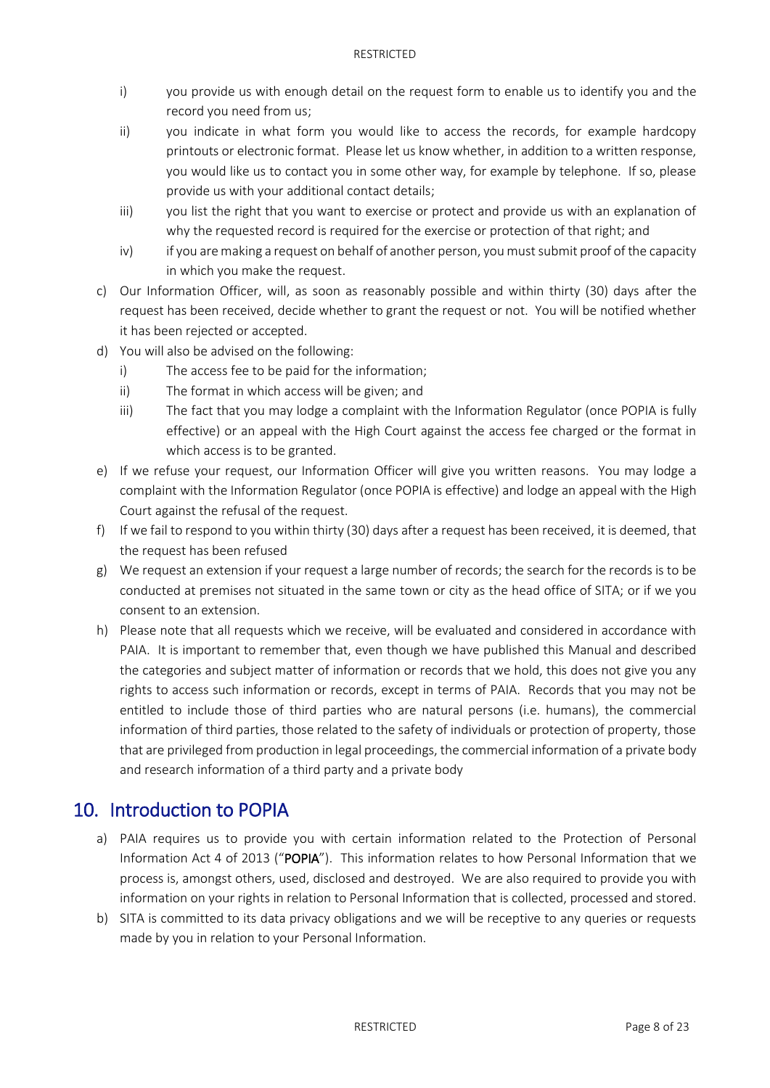- i) you provide us with enough detail on the request form to enable us to identify you and the record you need from us;
- ii) you indicate in what form you would like to access the records, for example hardcopy printouts or electronic format. Please let us know whether, in addition to a written response, you would like us to contact you in some other way, for example by telephone. If so, please provide us with your additional contact details;
- iii) you list the right that you want to exercise or protect and provide us with an explanation of why the requested record is required for the exercise or protection of that right; and
- iv) if you are making a request on behalf of another person, you must submit proof of the capacity in which you make the request.
- c) Our Information Officer, will, as soon as reasonably possible and within thirty (30) days after the request has been received, decide whether to grant the request or not. You will be notified whether it has been rejected or accepted.
- d) You will also be advised on the following:
	- i) The access fee to be paid for the information;
	- ii) The format in which access will be given; and
	- iii) The fact that you may lodge a complaint with the Information Regulator (once POPIA is fully effective) or an appeal with the High Court against the access fee charged or the format in which access is to be granted.
- e) If we refuse your request, our Information Officer will give you written reasons. You may lodge a complaint with the Information Regulator (once POPIA is effective) and lodge an appeal with the High Court against the refusal of the request.
- f) If we fail to respond to you within thirty (30) days after a request has been received, it is deemed, that the request has been refused
- g) We request an extension if your request a large number of records; the search for the records is to be conducted at premises not situated in the same town or city as the head office of SITA; or if we you consent to an extension.
- h) Please note that all requests which we receive, will be evaluated and considered in accordance with PAIA. It is important to remember that, even though we have published this Manual and described the categories and subject matter of information or records that we hold, this does not give you any rights to access such information or records, except in terms of PAIA. Records that you may not be entitled to include those of third parties who are natural persons (i.e. humans), the commercial information of third parties, those related to the safety of individuals or protection of property, those that are privileged from production in legal proceedings, the commercial information of a private body and research information of a third party and a private body

## <span id="page-7-0"></span>10. Introduction to POPIA

- a) PAIA requires us to provide you with certain information related to the Protection of Personal Information Act 4 of 2013 ("POPIA"). This information relates to how Personal Information that we process is, amongst others, used, disclosed and destroyed. We are also required to provide you with information on your rights in relation to Personal Information that is collected, processed and stored.
- b) SITA is committed to its data privacy obligations and we will be receptive to any queries or requests made by you in relation to your Personal Information.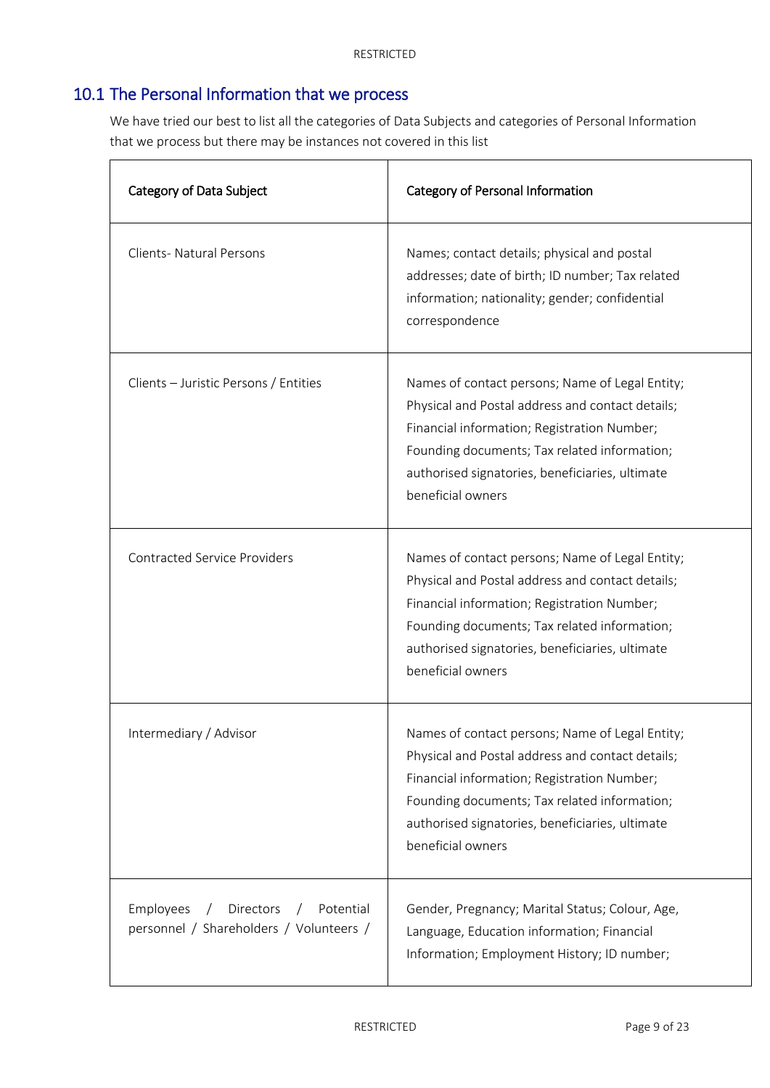## <span id="page-8-0"></span>10.1 The Personal Information that we process

We have tried our best to list all the categories of Data Subjects and categories of Personal Information that we process but there may be instances not covered in this list

| Category of Data Subject                                                                     | Category of Personal Information                                                                                                                                                                                                                                           |
|----------------------------------------------------------------------------------------------|----------------------------------------------------------------------------------------------------------------------------------------------------------------------------------------------------------------------------------------------------------------------------|
| <b>Clients- Natural Persons</b>                                                              | Names; contact details; physical and postal<br>addresses; date of birth; ID number; Tax related<br>information; nationality; gender; confidential<br>correspondence                                                                                                        |
| Clients – Juristic Persons / Entities                                                        | Names of contact persons; Name of Legal Entity;<br>Physical and Postal address and contact details;<br>Financial information; Registration Number;<br>Founding documents; Tax related information;<br>authorised signatories, beneficiaries, ultimate<br>beneficial owners |
| <b>Contracted Service Providers</b>                                                          | Names of contact persons; Name of Legal Entity;<br>Physical and Postal address and contact details;<br>Financial information; Registration Number;<br>Founding documents; Tax related information;<br>authorised signatories, beneficiaries, ultimate<br>beneficial owners |
| Intermediary / Advisor                                                                       | Names of contact persons; Name of Legal Entity;<br>Physical and Postal address and contact details;<br>Financial information; Registration Number;<br>Founding documents; Tax related information;<br>authorised signatories, beneficiaries, ultimate<br>beneficial owners |
| Employees<br>Directors<br>Potential<br>$\sqrt{2}$<br>personnel / Shareholders / Volunteers / | Gender, Pregnancy; Marital Status; Colour, Age,<br>Language, Education information; Financial<br>Information; Employment History; ID number;                                                                                                                               |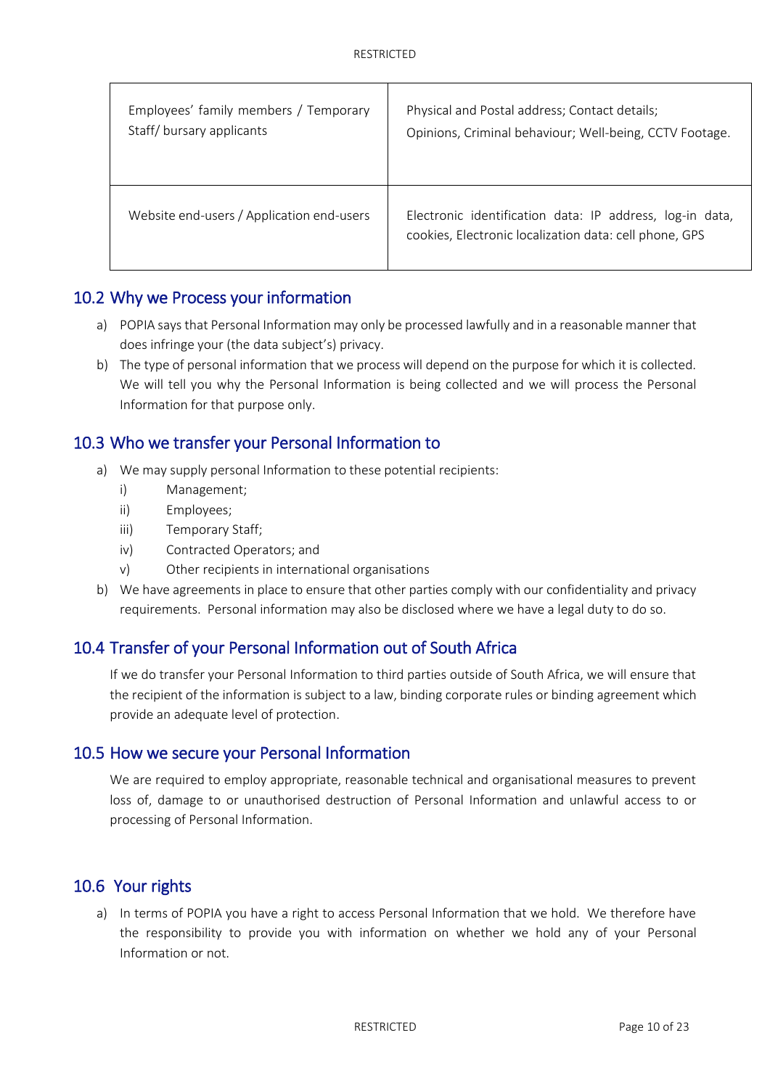| Employees' family members / Temporary     | Physical and Postal address; Contact details;                                                                      |
|-------------------------------------------|--------------------------------------------------------------------------------------------------------------------|
| Staff/bursary applicants                  | Opinions, Criminal behaviour; Well-being, CCTV Footage.                                                            |
| Website end-users / Application end-users | Electronic identification data: IP address, log-in data,<br>cookies, Electronic localization data: cell phone, GPS |

### <span id="page-9-0"></span>10.2 Why we Process your information

- a) POPIA says that Personal Information may only be processed lawfully and in a reasonable manner that does infringe your (the data subject's) privacy.
- b) The type of personal information that we process will depend on the purpose for which it is collected. We will tell you why the Personal Information is being collected and we will process the Personal Information for that purpose only.

### <span id="page-9-1"></span>10.3 Who we transfer your Personal Information to

- a) We may supply personal Information to these potential recipients:
	- i) Management;
	- ii) Employees;
	- iii) Temporary Staff;
	- iv) Contracted Operators; and
	- v) Other recipients in international organisations
- b) We have agreements in place to ensure that other parties comply with our confidentiality and privacy requirements. Personal information may also be disclosed where we have a legal duty to do so.

### <span id="page-9-2"></span>10.4 Transfer of your Personal Information out of South Africa

If we do transfer your Personal Information to third parties outside of South Africa, we will ensure that the recipient of the information is subject to a law, binding corporate rules or binding agreement which provide an adequate level of protection.

### <span id="page-9-3"></span>10.5 How we secure your Personal Information

We are required to employ appropriate, reasonable technical and organisational measures to prevent loss of, damage to or unauthorised destruction of Personal Information and unlawful access to or processing of Personal Information.

### <span id="page-9-4"></span>10.6 Your rights

a) In terms of POPIA you have a right to access Personal Information that we hold. We therefore have the responsibility to provide you with information on whether we hold any of your Personal Information or not.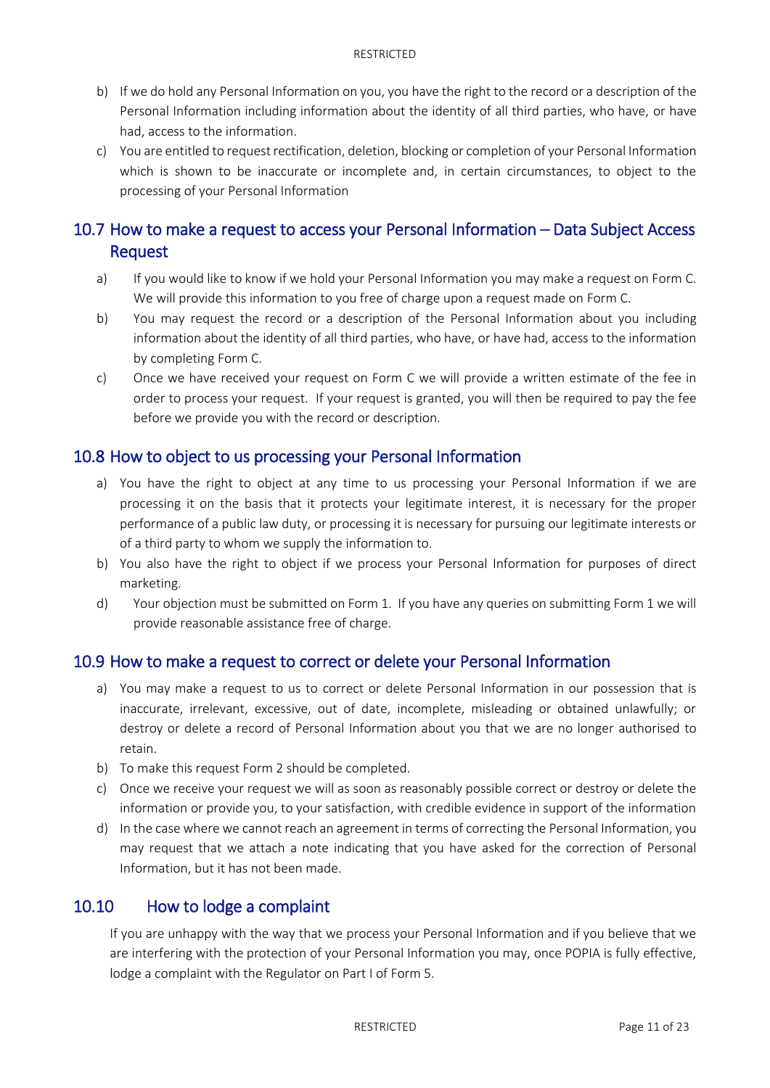- b) If we do hold any Personal Information on you, you have the right to the record or a description of the Personal Information including information about the identity of all third parties, who have, or have had, access to the information.
- c) You are entitled to request rectification, deletion, blocking or completion of your Personal Information which is shown to be inaccurate or incomplete and, in certain circumstances, to object to the processing of your Personal Information

### <span id="page-10-0"></span>10.7 How to make a request to access your Personal Information – Data Subject Access Request

- a) If you would like to know if we hold your Personal Information you may make a request on Form C. We will provide this information to you free of charge upon a request made on Form C.
- b) You may request the record or a description of the Personal Information about you including information about the identity of all third parties, who have, or have had, access to the information by completing Form C.
- c) Once we have received your request on Form C we will provide a written estimate of the fee in order to process your request. If your request is granted, you will then be required to pay the fee before we provide you with the record or description.

### <span id="page-10-1"></span>10.8 How to object to us processing your Personal Information

- a) You have the right to object at any time to us processing your Personal Information if we are processing it on the basis that it protects your legitimate interest, it is necessary for the proper performance of a public law duty, or processing it is necessary for pursuing our legitimate interests or of a third party to whom we supply the information to.
- b) You also have the right to object if we process your Personal Information for purposes of direct marketing.
- d) Your objection must be submitted on Form 1. If you have any queries on submitting Form 1 we will provide reasonable assistance free of charge.

### <span id="page-10-2"></span>10.9 How to make a request to correct or delete your Personal Information

- a) You may make a request to us to correct or delete Personal Information in our possession that is inaccurate, irrelevant, excessive, out of date, incomplete, misleading or obtained unlawfully; or destroy or delete a record of Personal Information about you that we are no longer authorised to retain.
- b) To make this request Form 2 should be completed.
- c) Once we receive your request we will as soon as reasonably possible correct or destroy or delete the information or provide you, to your satisfaction, with credible evidence in support of the information
- d) In the case where we cannot reach an agreement in terms of correcting the Personal Information, you may request that we attach a note indicating that you have asked for the correction of Personal Information, but it has not been made.

### <span id="page-10-3"></span>10.10 How to lodge a complaint

If you are unhappy with the way that we process your Personal Information and if you believe that we are interfering with the protection of your Personal Information you may, once POPIA is fully effective, lodge a complaint with the Regulator on Part I of Form 5.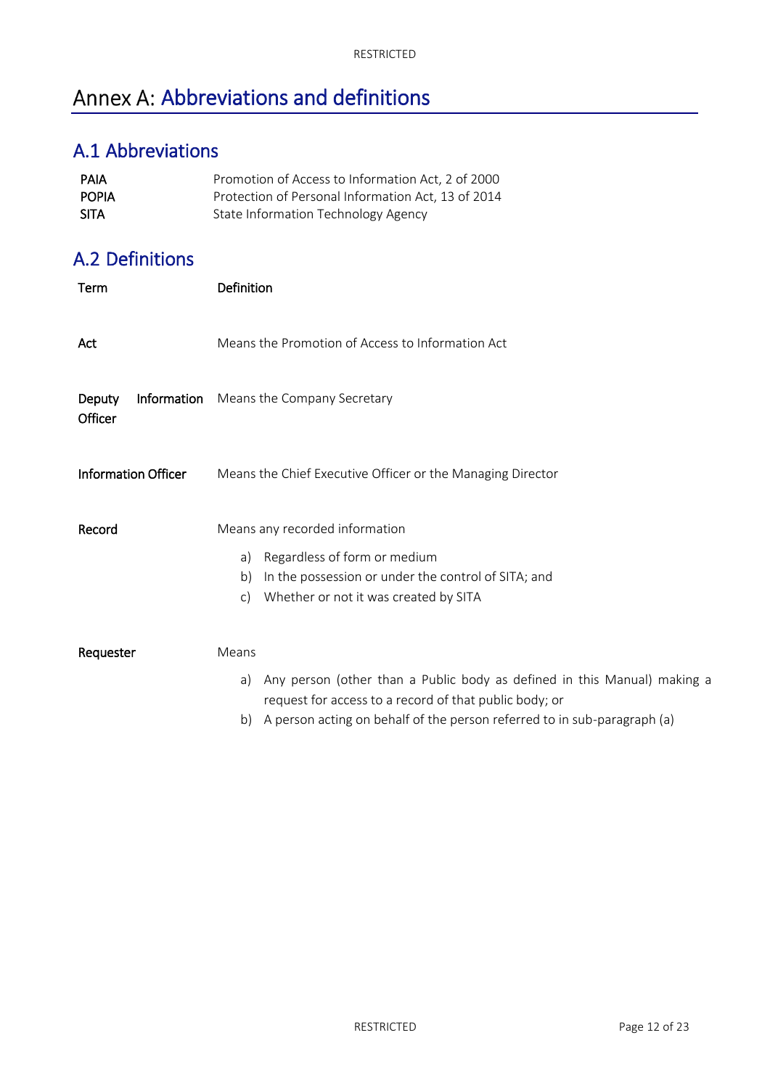## <span id="page-11-0"></span>Annex A: Abbreviations and definitions

## <span id="page-11-1"></span>A.1 Abbreviations

| <b>PAIA</b>  | Promotion of Access to Information Act, 2 of 2000  |
|--------------|----------------------------------------------------|
| <b>POPIA</b> | Protection of Personal Information Act, 13 of 2014 |
| <b>SITA</b>  | State Information Technology Agency                |

## <span id="page-11-2"></span>A.2 Definitions

| Term                       | Definition                                                                                                                                                                                                                 |
|----------------------------|----------------------------------------------------------------------------------------------------------------------------------------------------------------------------------------------------------------------------|
| Act                        | Means the Promotion of Access to Information Act                                                                                                                                                                           |
| Deputy<br>Officer          | <b>Information</b> Means the Company Secretary                                                                                                                                                                             |
| <b>Information Officer</b> | Means the Chief Executive Officer or the Managing Director                                                                                                                                                                 |
| Record                     | Means any recorded information                                                                                                                                                                                             |
|                            | Regardless of form or medium<br>a)<br>In the possession or under the control of SITA; and<br>b)<br>Whether or not it was created by SITA<br>C)                                                                             |
| Requester                  | Means                                                                                                                                                                                                                      |
|                            | Any person (other than a Public body as defined in this Manual) making a<br>a)<br>request for access to a record of that public body; or<br>A person acting on behalf of the person referred to in sub-paragraph (a)<br>b) |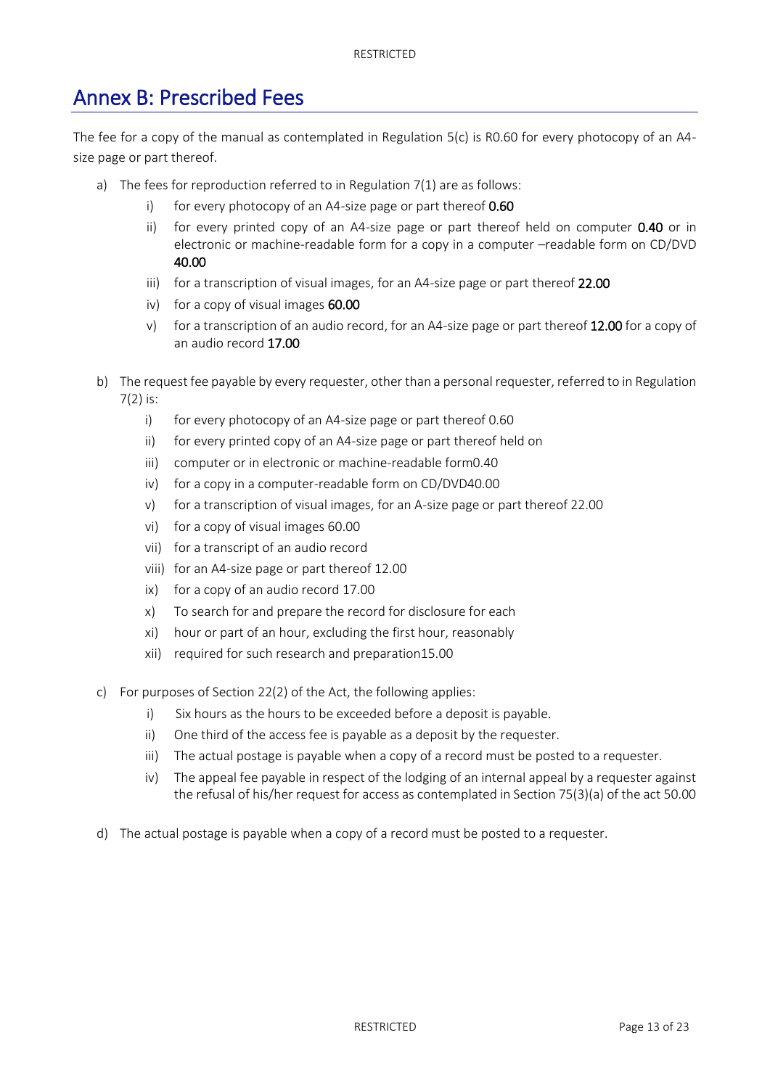## Annex B: Prescribed Fees

The fee for a copy of the manual as contemplated in Regulation 5(c) is R0.60 for every photocopy of an A4 size page or part thereof.

- a) The fees for reproduction referred to in Regulation 7(1) are as follows:
	- i) for every photocopy of an A4-size page or part thereof 0.60
	- ii) for every printed copy of an A4-size page or part thereof held on computer 0.40 or in electronic or machine-readable form for a copy in a computer –readable form on CD/DVD 40.00
	- iii) for a transcription of visual images, for an A4-size page or part thereof 22.00
	- iv) for a copy of visual images 60.00
	- v) for a transcription of an audio record, for an A4-size page or part thereof 12.00 for a copy of an audio record 17.00
- b) The request fee payable by every requester, other than a personal requester, referred to in Regulation 7(2) is:
	- i) for every photocopy of an A4-size page or part thereof 0.60
	- ii) for every printed copy of an A4-size page or part thereof held on
	- iii) computer or in electronic or machine-readable form0.40
	- iv) for a copy in a computer-readable form on CD/DVD40.00
	- v) for a transcription of visual images, for an A-size page or part thereof 22.00
	- vi) for a copy of visual images 60.00
	- vii) for a transcript of an audio record
	- viii) for an A4-size page or part thereof 12.00
	- ix) for a copy of an audio record 17.00
	- x) To search for and prepare the record for disclosure for each
	- xi) hour or part of an hour, excluding the first hour, reasonably
	- xii) required for such research and preparation15.00
- c) For purposes of Section 22(2) of the Act, the following applies:
	- i) Six hours as the hours to be exceeded before a deposit is payable.
	- ii) One third of the access fee is payable as a deposit by the requester.
	- iii) The actual postage is payable when a copy of a record must be posted to a requester.
	- iv) The appeal fee payable in respect of the lodging of an internal appeal by a requester against the refusal of his/her request for access as contemplated in Section 75(3)(a) of the act 50.00
- d) The actual postage is payable when a copy of a record must be posted to a requester.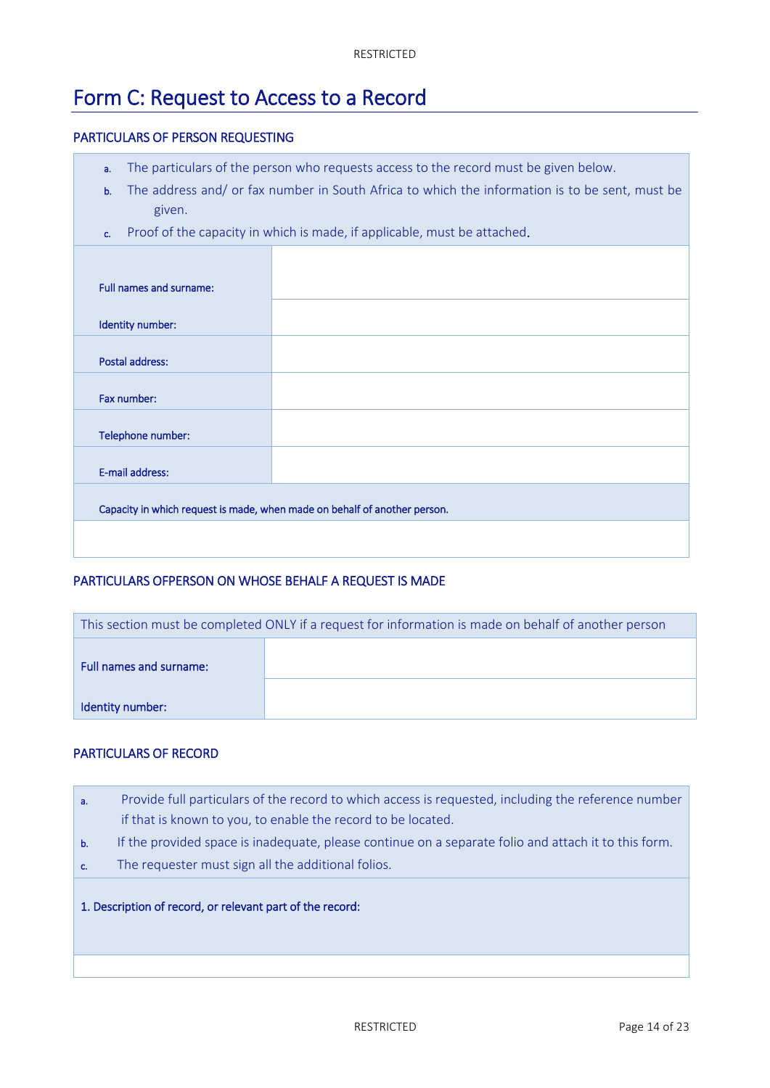## Form C: Request to Access to a Record

### PARTICULARS OF PERSON REQUESTING

- a. The particulars of the person who requests access to the record must be given below.
- b. The address and/ or fax number in South Africa to which the information is to be sent, must be given.
- c. Proof of the capacity in which is made, if applicable, must be attached.

| Full names and surname:                                                   |  |  |
|---------------------------------------------------------------------------|--|--|
|                                                                           |  |  |
| Identity number:                                                          |  |  |
|                                                                           |  |  |
| Postal address:                                                           |  |  |
|                                                                           |  |  |
| Fax number:                                                               |  |  |
|                                                                           |  |  |
| Telephone number:                                                         |  |  |
|                                                                           |  |  |
| E-mail address:                                                           |  |  |
|                                                                           |  |  |
| Capacity in which request is made, when made on behalf of another person. |  |  |
|                                                                           |  |  |
|                                                                           |  |  |

### PARTICULARS OFPERSON ON WHOSE BEHALF A REQUEST IS MADE

| This section must be completed ONLY if a request for information is made on behalf of another person |  |  |  |
|------------------------------------------------------------------------------------------------------|--|--|--|
| Full names and surname:                                                                              |  |  |  |
| Identity number:                                                                                     |  |  |  |

#### PARTICULARS OF RECORD

- a. Provide full particulars of the record to which access is requested, including the reference number if that is known to you, to enable the record to be located.
- b. If the provided space is inadequate, please continue on a separate folio and attach it to this form.
- c. The requester must sign all the additional folios.

1. Description of record, or relevant part of the record: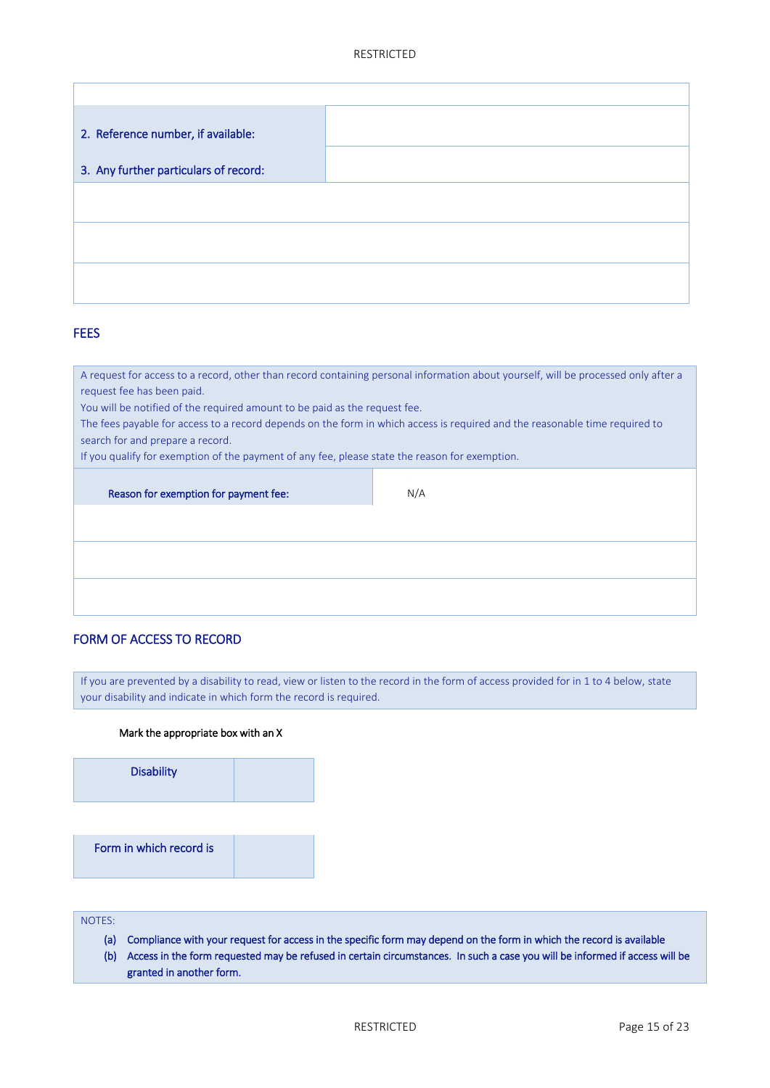| 2. Reference number, if available:    |  |
|---------------------------------------|--|
| 3. Any further particulars of record: |  |
|                                       |  |
|                                       |  |
|                                       |  |
|                                       |  |

### **FEES**

A request for access to a record, other than record containing personal information about yourself, will be processed only after a request fee has been paid. You will be notified of the required amount to be paid as the request fee. The fees payable for access to a record depends on the form in which access is required and the reasonable time required to

search for and prepare a record.

If you qualify for exemption of the payment of any fee, please state the reason for exemption.

Reason for exemption for payment fee:

N/A

### FORM OF ACCESS TO RECORD

If you are prevented by a disability to read, view or listen to the record in the form of access provided for in 1 to 4 below, state your disability and indicate in which form the record is required.

#### Mark the appropriate box with an X

**Disability** 

Form in which record is

NOTES:

- (a) Compliance with your request for access in the specific form may depend on the form in which the record is available
- (b) Access in the form requested may be refused in certain circumstances. In such a case you will be informed if access will be granted in another form.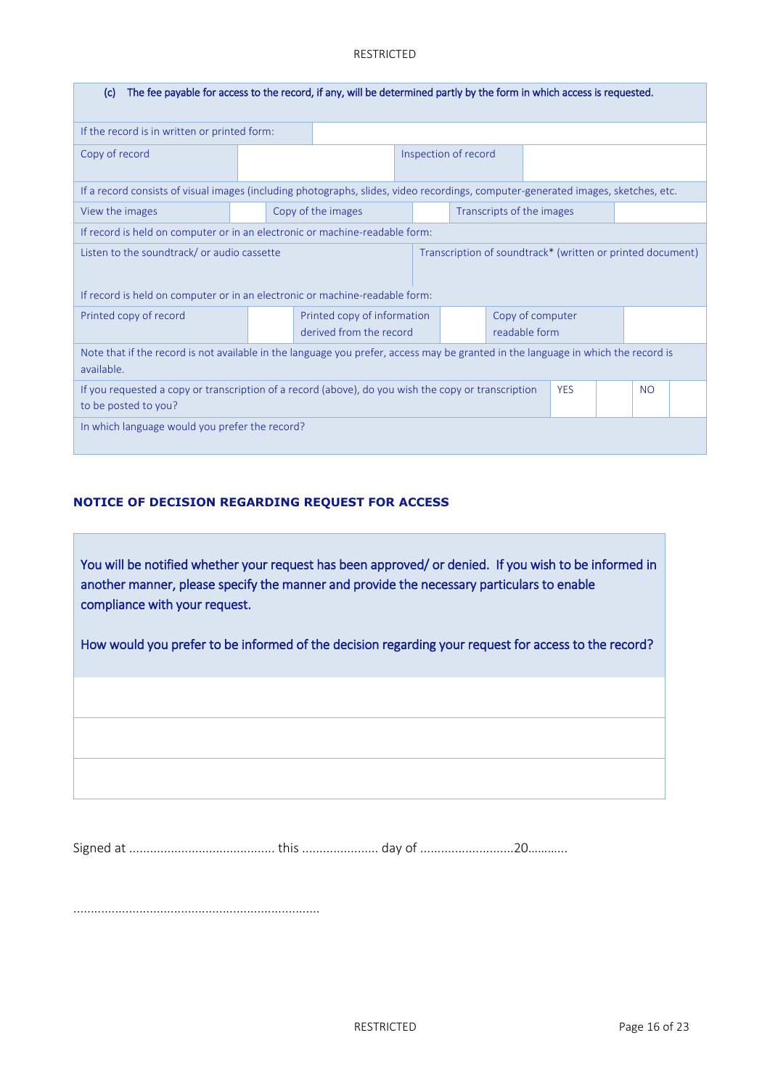#### RESTRICTED

| The fee payable for access to the record, if any, will be determined partly by the form in which access is requested.<br>(c)                           |  |                                                        |                      |  |                                   |  |  |  |  |  |
|--------------------------------------------------------------------------------------------------------------------------------------------------------|--|--------------------------------------------------------|----------------------|--|-----------------------------------|--|--|--|--|--|
| If the record is in written or printed form:                                                                                                           |  |                                                        |                      |  |                                   |  |  |  |  |  |
| Copy of record                                                                                                                                         |  |                                                        | Inspection of record |  |                                   |  |  |  |  |  |
| If a record consists of visual images (including photographs, slides, video recordings, computer-generated images, sketches, etc.                      |  |                                                        |                      |  |                                   |  |  |  |  |  |
| View the images                                                                                                                                        |  | Copy of the images                                     |                      |  | Transcripts of the images         |  |  |  |  |  |
| If record is held on computer or in an electronic or machine-readable form:                                                                            |  |                                                        |                      |  |                                   |  |  |  |  |  |
| Listen to the soundtrack/ or audio cassette<br>Transcription of soundtrack* (written or printed document)                                              |  |                                                        |                      |  |                                   |  |  |  |  |  |
| If record is held on computer or in an electronic or machine-readable form:                                                                            |  |                                                        |                      |  |                                   |  |  |  |  |  |
| Printed copy of record                                                                                                                                 |  | Printed copy of information<br>derived from the record |                      |  | Copy of computer<br>readable form |  |  |  |  |  |
| Note that if the record is not available in the language you prefer, access may be granted in the language in which the record is<br>available.        |  |                                                        |                      |  |                                   |  |  |  |  |  |
| If you requested a copy or transcription of a record (above), do you wish the copy or transcription<br><b>YES</b><br><b>NO</b><br>to be posted to you? |  |                                                        |                      |  |                                   |  |  |  |  |  |
| In which language would you prefer the record?                                                                                                         |  |                                                        |                      |  |                                   |  |  |  |  |  |

### **NOTICE OF DECISION REGARDING REQUEST FOR ACCESS**

You will be notified whether your request has been approved/ or denied. If you wish to be informed in another manner, please specify the manner and provide the necessary particulars to enable compliance with your request.

How would you prefer to be informed of the decision regarding your request for access to the record?

Signed at .......................................... this ...................... day of ...........................20………...

.......................................................................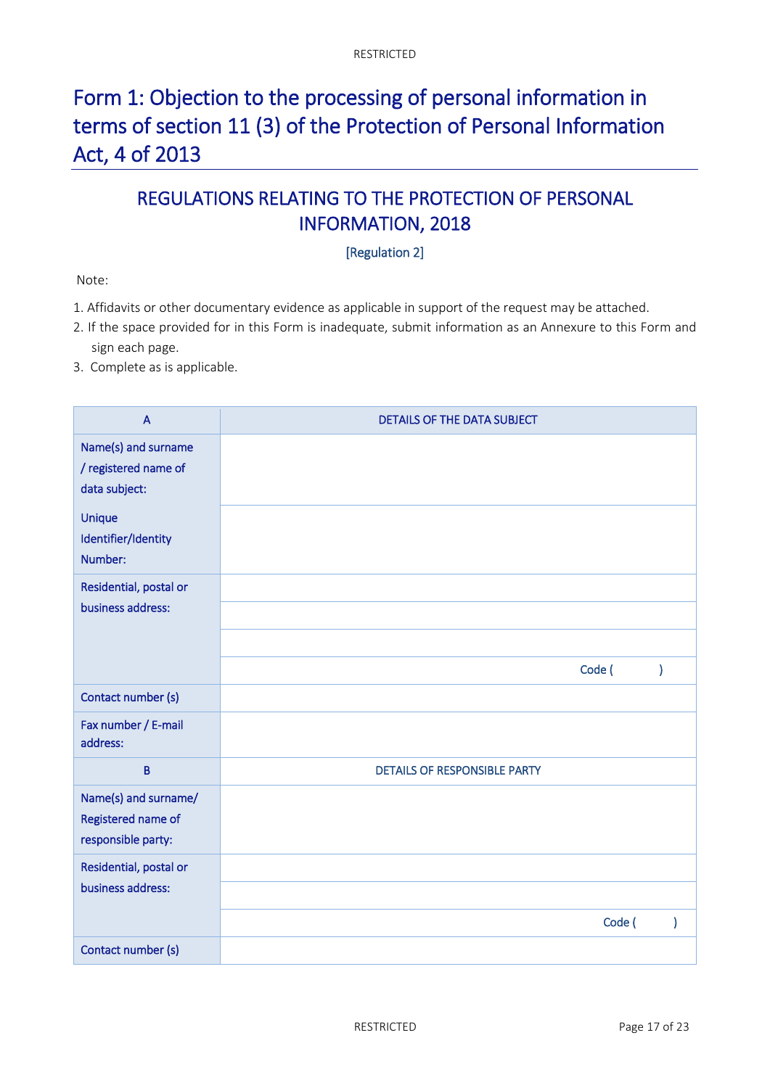## Form 1: Objection to the processing of personal information in terms of section 11 (3) of the Protection of Personal Information Act, 4 of 2013

## REGULATIONS RELATING TO THE PROTECTION OF PERSONAL INFORMATION, 2018

### [Regulation 2]

Note:

- 1. Affidavits or other documentary evidence as applicable in support of the request may be attached.
- 2. If the space provided for in this Form is inadequate, submit information as an Annexure to this Form and sign each page.
- 3. Complete as is applicable.

| $\overline{A}$                                                   | <b>DETAILS OF THE DATA SUBJECT</b>  |
|------------------------------------------------------------------|-------------------------------------|
| Name(s) and surname<br>/ registered name of<br>data subject:     |                                     |
| Unique<br>Identifier/Identity<br>Number:                         |                                     |
| Residential, postal or<br>business address:                      |                                     |
|                                                                  | Code (<br>$\mathcal{E}$             |
| Contact number (s)                                               |                                     |
| Fax number / E-mail<br>address:                                  |                                     |
| $\mathsf{B}$                                                     | <b>DETAILS OF RESPONSIBLE PARTY</b> |
| Name(s) and surname/<br>Registered name of<br>responsible party: |                                     |
| Residential, postal or                                           |                                     |
| business address:                                                |                                     |
|                                                                  | Code (<br>)                         |
| Contact number (s)                                               |                                     |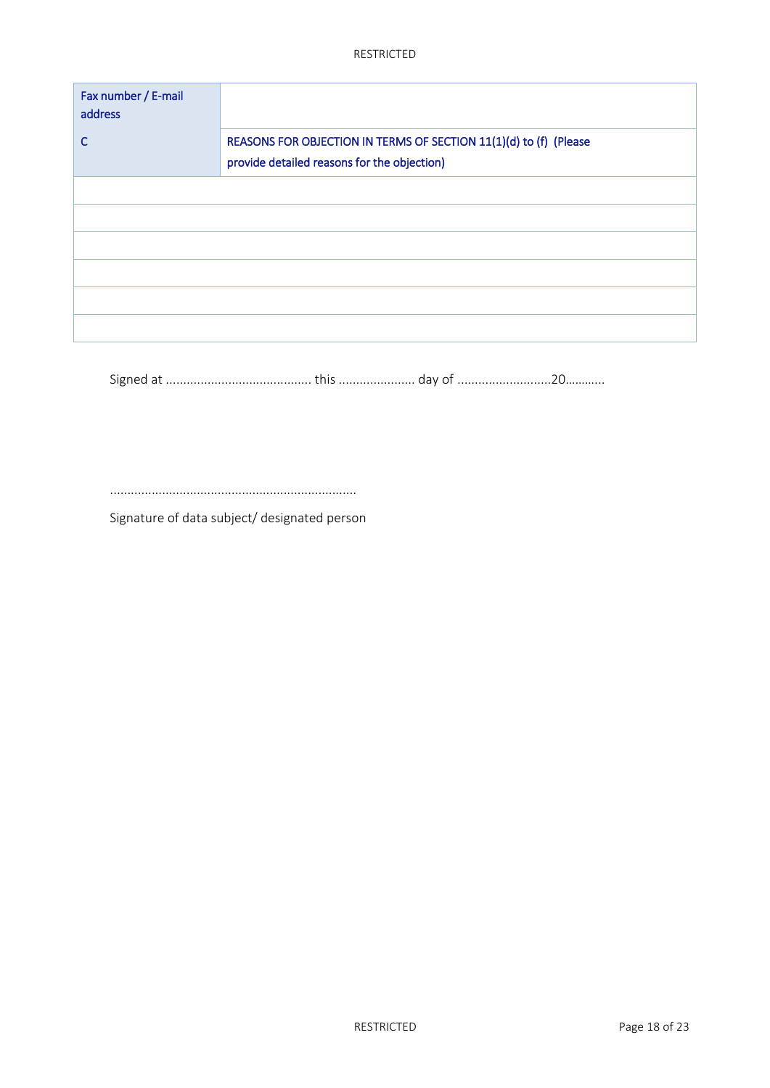| Fax number / E-mail<br>address |                                                                                                                  |
|--------------------------------|------------------------------------------------------------------------------------------------------------------|
| С                              | REASONS FOR OBJECTION IN TERMS OF SECTION 11(1)(d) to (f) (Please<br>provide detailed reasons for the objection) |
|                                |                                                                                                                  |
|                                |                                                                                                                  |
|                                |                                                                                                                  |
|                                |                                                                                                                  |
|                                |                                                                                                                  |
|                                |                                                                                                                  |

Signed at .......................................... this ...................... day of ...........................20………...

.......................................................................

Signature of data subject/ designated person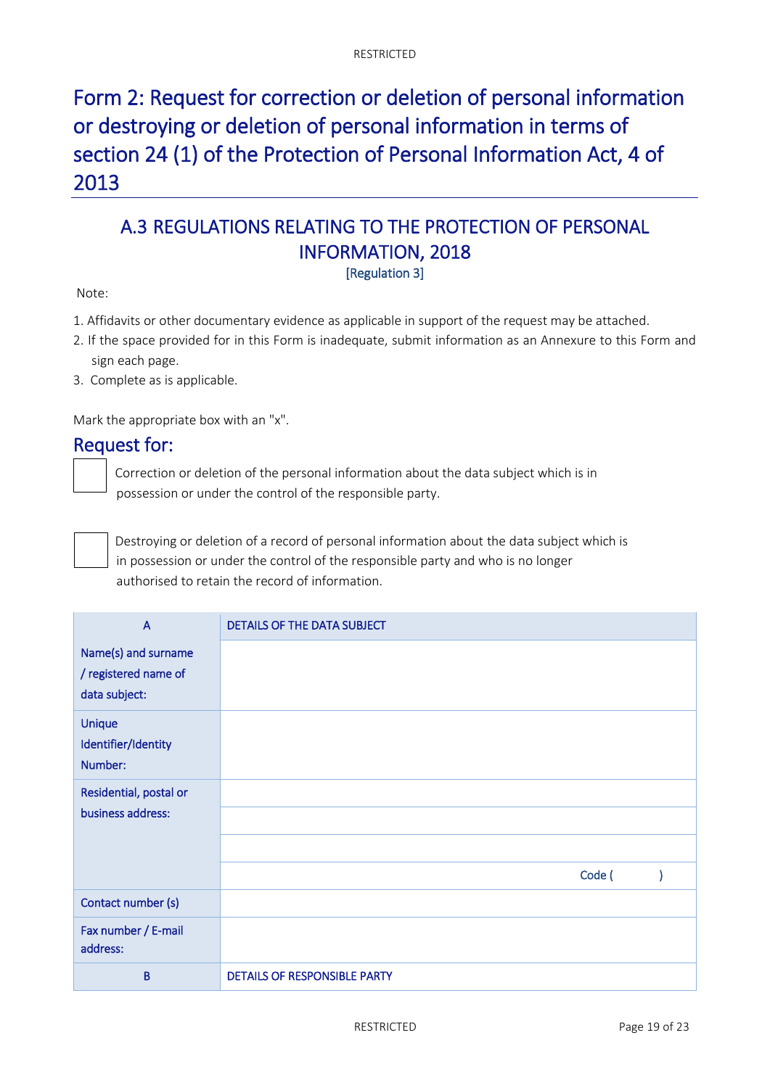## Form 2: Request for correction or deletion of personal information or destroying or deletion of personal information in terms of section 24 (1) of the Protection of Personal Information Act, 4 of 2013

## A.3 REGULATIONS RELATING TO THE PROTECTION OF PERSONAL INFORMATION, 2018

[Regulation 3]

Note:

- 1. Affidavits or other documentary evidence as applicable in support of the request may be attached.
- 2. If the space provided for in this Form is inadequate, submit information as an Annexure to this Form and sign each page.
- 3. Complete as is applicable.

Mark the appropriate box with an "x".

### Request for:

 Correction or deletion of the personal information about the data subject which is in possession or under the control of the responsible party.



 Destroying or deletion of a record of personal information about the data subject which is in possession or under the control of the responsible party and who is no longer authorised to retain the record of information.

| A                                                            | DETAILS OF THE DATA SUBJECT  |
|--------------------------------------------------------------|------------------------------|
| Name(s) and surname<br>/ registered name of<br>data subject: |                              |
| Unique<br>Identifier/Identity<br>Number:                     |                              |
| Residential, postal or<br>business address:                  |                              |
|                                                              | Code (                       |
| Contact number (s)                                           |                              |
| Fax number / E-mail<br>address:                              |                              |
| B                                                            | DETAILS OF RESPONSIBLE PARTY |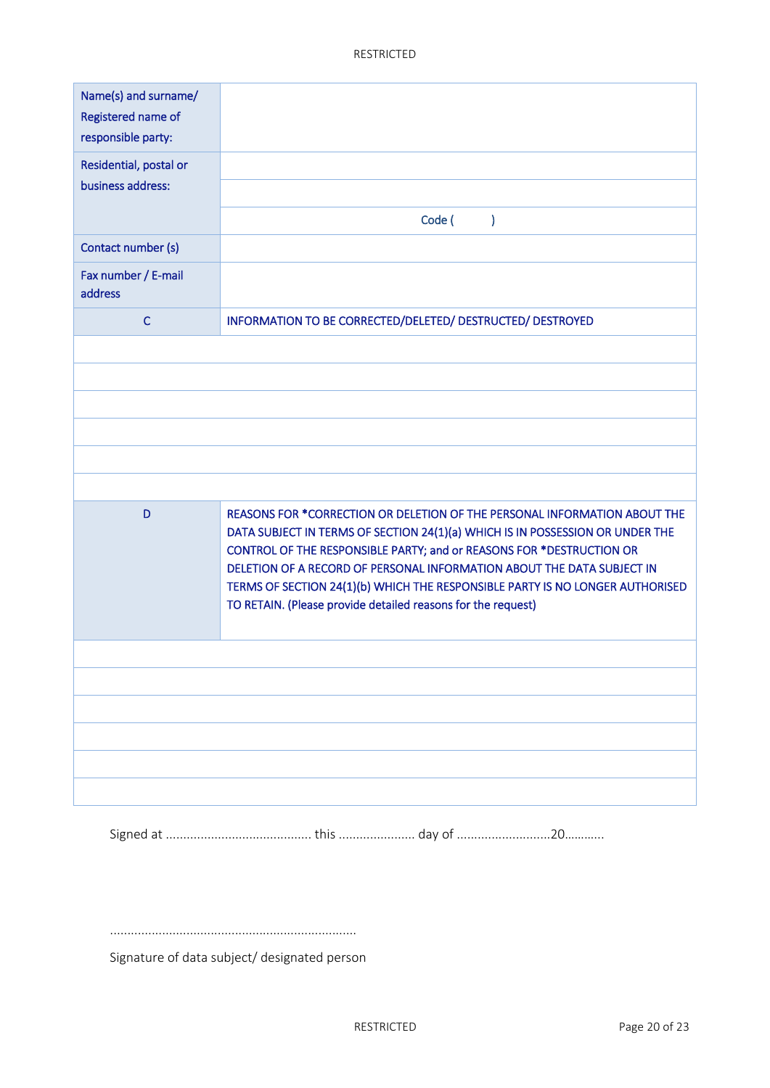| Name(s) and surname/   |                                                                                                                                                                                                                                                                                                                                                                                                                                                               |
|------------------------|---------------------------------------------------------------------------------------------------------------------------------------------------------------------------------------------------------------------------------------------------------------------------------------------------------------------------------------------------------------------------------------------------------------------------------------------------------------|
| Registered name of     |                                                                                                                                                                                                                                                                                                                                                                                                                                                               |
| responsible party:     |                                                                                                                                                                                                                                                                                                                                                                                                                                                               |
| Residential, postal or |                                                                                                                                                                                                                                                                                                                                                                                                                                                               |
| business address:      |                                                                                                                                                                                                                                                                                                                                                                                                                                                               |
|                        |                                                                                                                                                                                                                                                                                                                                                                                                                                                               |
|                        | Code (<br>)                                                                                                                                                                                                                                                                                                                                                                                                                                                   |
| Contact number (s)     |                                                                                                                                                                                                                                                                                                                                                                                                                                                               |
| Fax number / E-mail    |                                                                                                                                                                                                                                                                                                                                                                                                                                                               |
| address                |                                                                                                                                                                                                                                                                                                                                                                                                                                                               |
| $\mathsf{C}$           | INFORMATION TO BE CORRECTED/DELETED/ DESTRUCTED/ DESTROYED                                                                                                                                                                                                                                                                                                                                                                                                    |
|                        |                                                                                                                                                                                                                                                                                                                                                                                                                                                               |
|                        |                                                                                                                                                                                                                                                                                                                                                                                                                                                               |
|                        |                                                                                                                                                                                                                                                                                                                                                                                                                                                               |
|                        |                                                                                                                                                                                                                                                                                                                                                                                                                                                               |
|                        |                                                                                                                                                                                                                                                                                                                                                                                                                                                               |
|                        |                                                                                                                                                                                                                                                                                                                                                                                                                                                               |
|                        |                                                                                                                                                                                                                                                                                                                                                                                                                                                               |
| D                      | REASONS FOR *CORRECTION OR DELETION OF THE PERSONAL INFORMATION ABOUT THE<br>DATA SUBJECT IN TERMS OF SECTION 24(1)(a) WHICH IS IN POSSESSION OR UNDER THE<br>CONTROL OF THE RESPONSIBLE PARTY; and or REASONS FOR *DESTRUCTION OR<br>DELETION OF A RECORD OF PERSONAL INFORMATION ABOUT THE DATA SUBJECT IN<br>TERMS OF SECTION 24(1)(b) WHICH THE RESPONSIBLE PARTY IS NO LONGER AUTHORISED<br>TO RETAIN. (Please provide detailed reasons for the request) |
|                        |                                                                                                                                                                                                                                                                                                                                                                                                                                                               |
|                        |                                                                                                                                                                                                                                                                                                                                                                                                                                                               |
|                        |                                                                                                                                                                                                                                                                                                                                                                                                                                                               |
|                        |                                                                                                                                                                                                                                                                                                                                                                                                                                                               |
|                        |                                                                                                                                                                                                                                                                                                                                                                                                                                                               |
|                        |                                                                                                                                                                                                                                                                                                                                                                                                                                                               |
|                        |                                                                                                                                                                                                                                                                                                                                                                                                                                                               |
|                        |                                                                                                                                                                                                                                                                                                                                                                                                                                                               |

Signed at .......................................... this ...................... day of ...........................20………...

.......................................................................

Signature of data subject/ designated person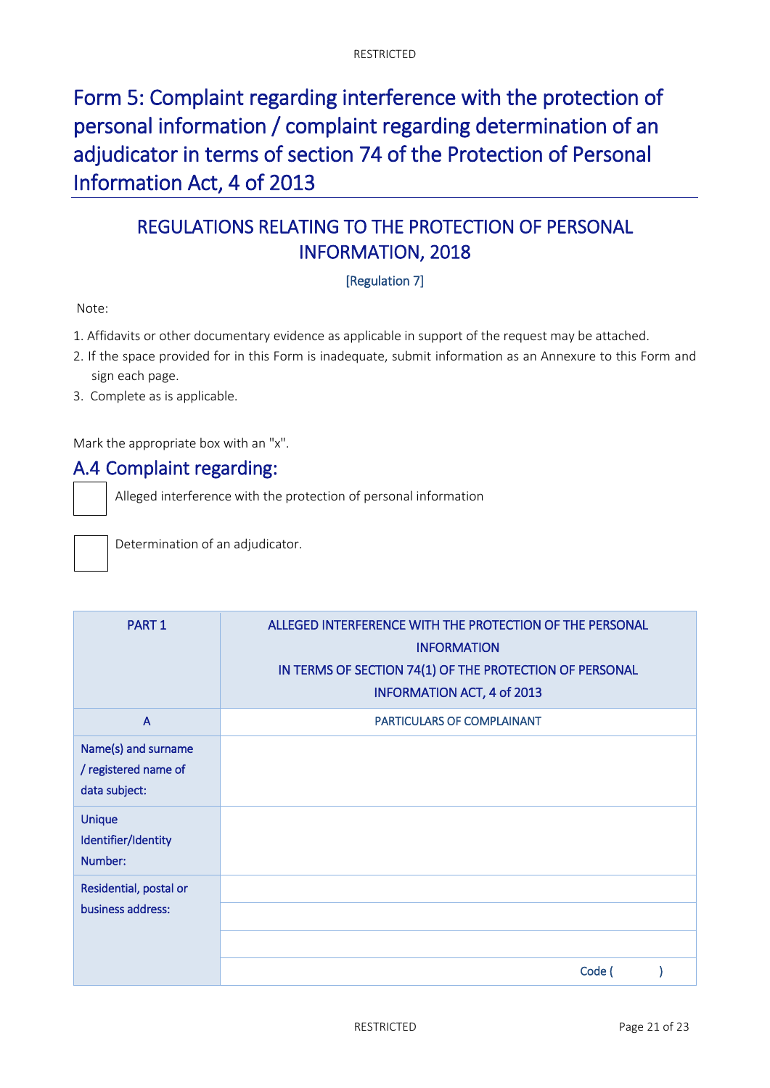## Form 5: Complaint regarding interference with the protection of personal information / complaint regarding determination of an adjudicator in terms of section 74 of the Protection of Personal Information Act, 4 of 2013

## REGULATIONS RELATING TO THE PROTECTION OF PERSONAL INFORMATION, 2018

### [Regulation 7]

#### Note:

- 1. Affidavits or other documentary evidence as applicable in support of the request may be attached.
- 2. If the space provided for in this Form is inadequate, submit information as an Annexure to this Form and sign each page.
- 3. Complete as is applicable.

Mark the appropriate box with an "x".

## A.4 Complaint regarding:

Alleged interference with the protection of personal information

Determination of an adjudicator.

| <b>PART1</b>                                                 | ALLEGED INTERFERENCE WITH THE PROTECTION OF THE PERSONAL<br><b>INFORMATION</b><br>IN TERMS OF SECTION 74(1) OF THE PROTECTION OF PERSONAL<br><b>INFORMATION ACT, 4 of 2013</b> |
|--------------------------------------------------------------|--------------------------------------------------------------------------------------------------------------------------------------------------------------------------------|
| $\overline{A}$                                               | PARTICULARS OF COMPLAINANT                                                                                                                                                     |
| Name(s) and surname<br>/ registered name of<br>data subject: |                                                                                                                                                                                |
| <b>Unique</b><br>Identifier/Identity<br>Number:              |                                                                                                                                                                                |
| Residential, postal or<br>business address:                  |                                                                                                                                                                                |
|                                                              | Code (                                                                                                                                                                         |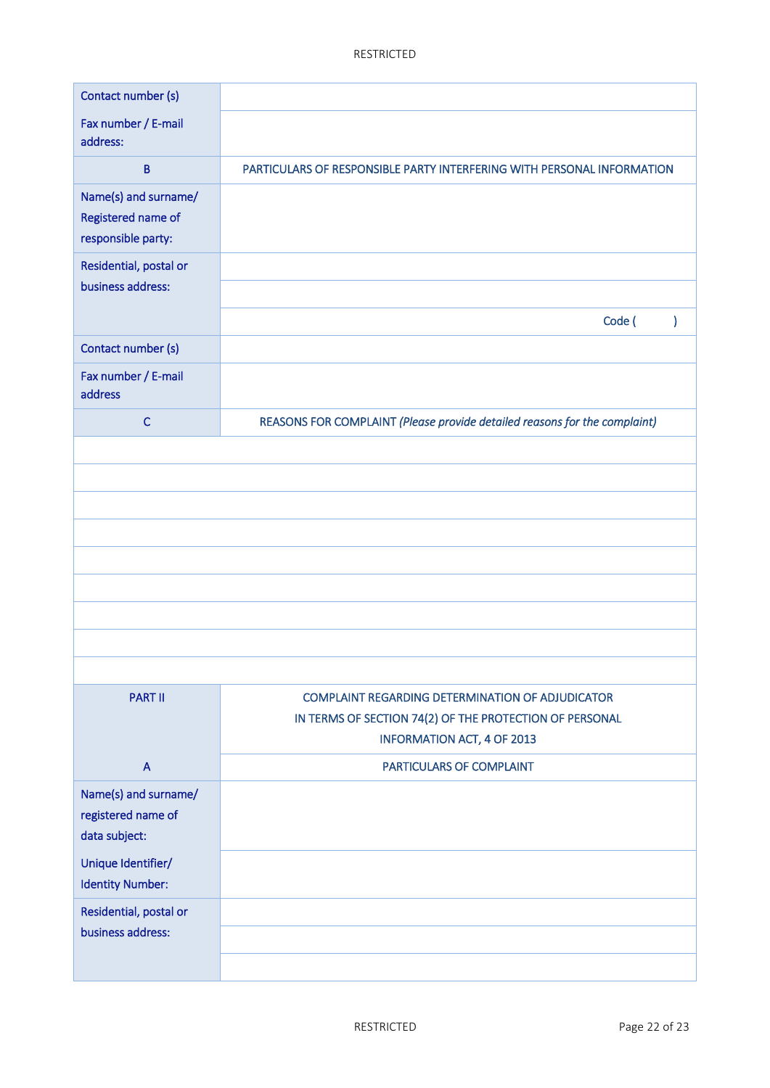| Contact number (s)                                               |                                                                                                                                                  |
|------------------------------------------------------------------|--------------------------------------------------------------------------------------------------------------------------------------------------|
| Fax number / E-mail<br>address:                                  |                                                                                                                                                  |
| $\overline{B}$                                                   | PARTICULARS OF RESPONSIBLE PARTY INTERFERING WITH PERSONAL INFORMATION                                                                           |
| Name(s) and surname/<br>Registered name of<br>responsible party: |                                                                                                                                                  |
| Residential, postal or<br>business address:                      |                                                                                                                                                  |
|                                                                  | Code (<br>$\mathcal{E}$                                                                                                                          |
| Contact number (s)                                               |                                                                                                                                                  |
| Fax number / E-mail<br>address                                   |                                                                                                                                                  |
| $\mathsf C$                                                      | REASONS FOR COMPLAINT (Please provide detailed reasons for the complaint)                                                                        |
|                                                                  |                                                                                                                                                  |
| <b>PART II</b>                                                   | COMPLAINT REGARDING DETERMINATION OF ADJUDICATOR<br>IN TERMS OF SECTION 74(2) OF THE PROTECTION OF PERSONAL<br><b>INFORMATION ACT, 4 OF 2013</b> |
| $\overline{A}$                                                   | PARTICULARS OF COMPLAINT                                                                                                                         |
| Name(s) and surname/<br>registered name of<br>data subject:      |                                                                                                                                                  |
| Unique Identifier/<br><b>Identity Number:</b>                    |                                                                                                                                                  |
| Residential, postal or<br>business address:                      |                                                                                                                                                  |